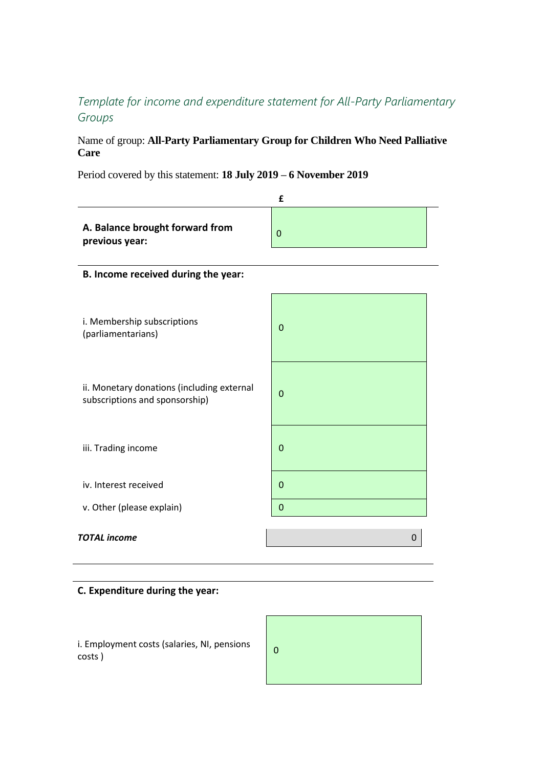## *Template for income and expenditure statement for All-Party Parliamentary Groups*

## Name of group: **All-Party Parliamentary Group for Children Who Need Palliative Care**

Period covered by this statement: **18 July 2019 – 6 November 2019**

|                                                                              | £           |  |
|------------------------------------------------------------------------------|-------------|--|
| A. Balance brought forward from<br>previous year:                            | $\mathbf 0$ |  |
| B. Income received during the year:                                          |             |  |
| i. Membership subscriptions<br>(parliamentarians)                            | $\mathbf 0$ |  |
| ii. Monetary donations (including external<br>subscriptions and sponsorship) | $\mathbf 0$ |  |
| iii. Trading income                                                          | $\mathbf 0$ |  |
| iv. Interest received                                                        | $\mathbf 0$ |  |
| v. Other (please explain)                                                    | $\mathbf 0$ |  |
| <b>TOTAL</b> income                                                          | 0           |  |

## **C. Expenditure during the year:**

i. Employment costs (salaries, NI, pensions (100)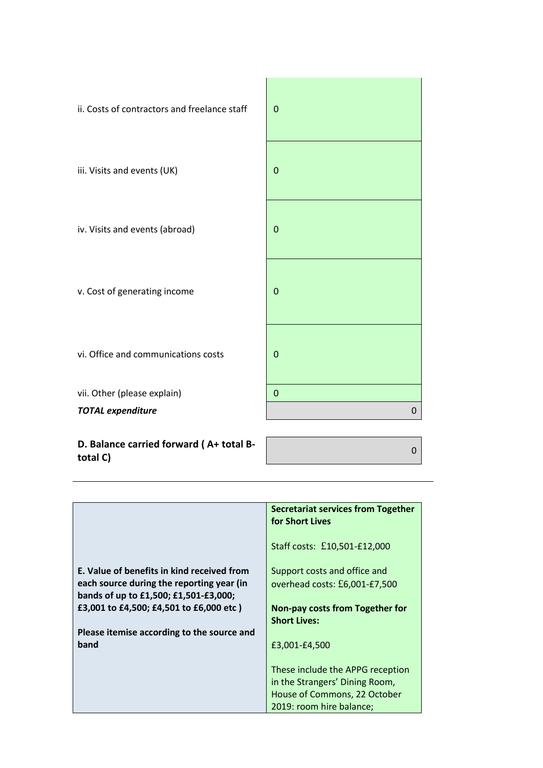

| total C) |  |
|----------|--|
|          |  |

|                                                                                    | <b>Secretariat services from Together</b><br>for Short Lives |
|------------------------------------------------------------------------------------|--------------------------------------------------------------|
|                                                                                    | Staff costs: £10,501-£12,000                                 |
| E. Value of benefits in kind received from                                         | Support costs and office and                                 |
| each source during the reporting year (in<br>bands of up to £1,500; £1,501-£3,000; | overhead costs: £6,001-£7,500                                |
| £3,001 to £4,500; £4,501 to £6,000 etc)                                            | Non-pay costs from Together for                              |
|                                                                                    | <b>Short Lives:</b>                                          |
| Please itemise according to the source and<br>band                                 |                                                              |
|                                                                                    | £3,001-£4,500                                                |
|                                                                                    | These include the APPG reception                             |
|                                                                                    | in the Strangers' Dining Room,                               |
|                                                                                    | House of Commons, 22 October                                 |
|                                                                                    | 2019: room hire balance;                                     |